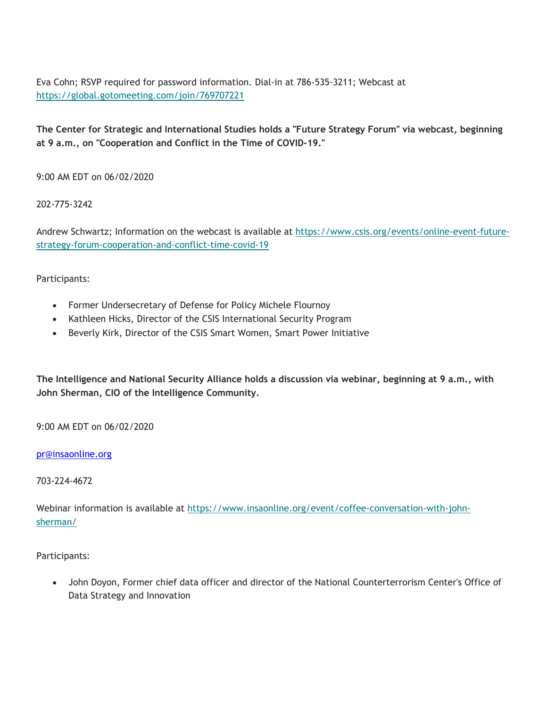Eva Cohn; RSVP required for password information. Dial-in at 786-535-3211; Webcast at <https://global.gotomeeting.com/join/769707221>

**The Center for Strategic and International Studies holds a "Future Strategy Forum" via webcast, beginning at 9 a.m., on "Cooperation and Conflict in the Time of COVID-19."** 

9:00 AM EDT on 06/02/2020

202-775-3242

Andrew Schwartz; Information on the webcast is available at <https://www.csis.org/events/online-event-future>strategy-forum-cooperation-and-conflict-time-covid-19

Participants:

- Former Undersecretary of Defense for Policy Michele Flournoy
- Kathleen Hicks, Director of the CSIS International Security Program
- Beverly Kirk, Director of the CSIS Smart Women, Smart Power Initiative

**The Intelligence and National Security Alliance holds a discussion via webinar, beginning at 9 a.m., with John Sherman, CIO of the Intelligence Community.** 

9:00 AM EDT on 06/02/2020

<u>[pr@insaonline.org](mailto:pr@insaonline.org)</u><br>703-224-4672

Webinar information is available at <https://www.insaonline.org/event/coffee-conversation-with-john>sherman/

Participants:

 John Doyon, Former chief data officer and director of the National Counterterrorism Center's Office of Data Strategy and Innovation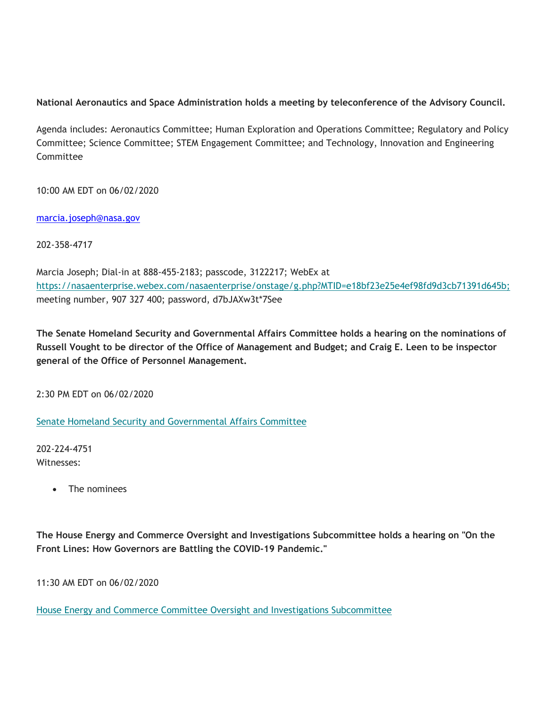## **National Aeronautics and Space Administration holds a meeting by teleconference of the Advisory Council.**

Agenda includes: Aeronautics Committee; Human Exploration and Operations Committee; Regulatory and Policy Committee; Science Committee; STEM Engagement Committee; and Technology, Innovation and Engineering Committee

10:00 AM EDT on 06/02/2020

<u>marcia.joseph@nasa.gov</u><br>202-358-4717

Marcia Joseph; Dial-in at 888-455-2183; passcode, 3122217; WebEx at <https://nasaenterprise.webex.com/nasaenterprise/onstage/g.php?MTID=e18bf23e25e4ef98fd9d3cb71391d645b>; meeting number, 907 327 400; password, d7bJAXw3t\*7See

**The Senate Homeland Security and Governmental Affairs Committee holds a hearing on the nominations of Russell Vought to be director of the Office of Management and Budget; and Craig E. Leen to be inspector general of the Office of Personnel Management.** 

2:30 PM EDT on 06/02/2020

Senate Homeland Security and Governmental Affairs Committee

202-224-4751 Witnesses:

The nominees

**The House Energy and Commerce Oversight and Investigations Subcommittee holds a hearing on "On the Front Lines: How Governors are Battling the COVID-19 Pandemic."** 

11:30 AM EDT on 06/02/2020

House Energy and Commerce Committee Oversight and Investigations Subcommittee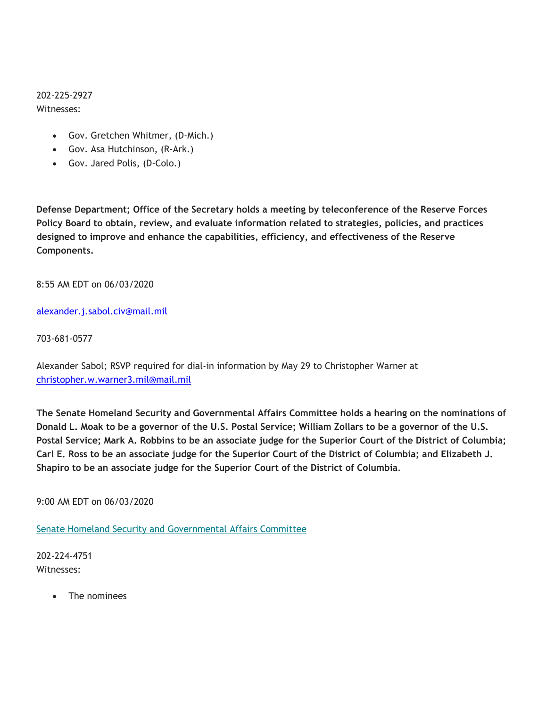202-225-2927 Witnesses:

- Gov. Gretchen Whitmer, (D-Mich.)
- Gov. Asa Hutchinson, (R-Ark.)
- Gov. Jared Polis, (D-Colo.)

**Defense Department; Office of the Secretary holds a meeting by teleconference of the Reserve Forces Policy Board to obtain, review, and evaluate information related to strategies, policies, and practices designed to improve and enhance the capabilities, efficiency, and effectiveness of the Reserve Components.** 

8:55 AM EDT on 06/03/2020

# <u>alexander.j.sabol.civ@mail.mil</u><br>703-681-0577

Alexander Sabol; RSVP required for dial-in information by May 29 to Christopher Warner at christopher.w.warner3.mil@mail.mil

**The Senate Homeland Security and Governmental Affairs Committee holds a hearing on the nominations of Donald L. Moak to be a governor of the U.S. Postal Service; William Zollars to be a governor of the U.S. Postal Service; Mark A. Robbins to be an associate judge for the Superior Court of the District of Columbia; Carl E. Ross to be an associate judge for the Superior Court of the District of Columbia; and Elizabeth J. Shapiro to be an associate judge for the Superior Court of the District of Columbia**.

9:00 AM EDT on 06/03/2020

Senate Homeland Security and Governmental Affairs Committee

202-224-4751 Witnesses:

The nominees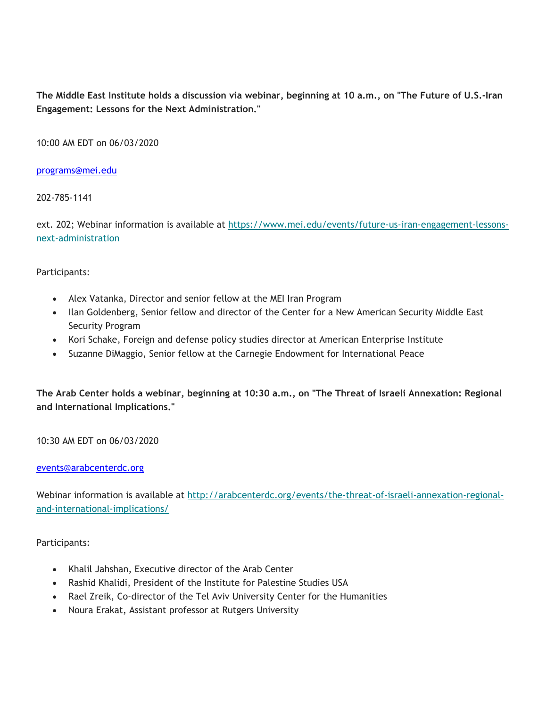**The Middle East Institute holds a discussion via webinar, beginning at 10 a.m., on "The Future of U.S.-Iran Engagement: Lessons for the Next Administration."** 

10:00 AM EDT on 06/03/2020

<u>programs@mei.edu</u><br>202-785-1141

ext. 202; Webinar information is available at <https://www.mei.edu/events/future-us-iran-engagement-lessons>next-administration

Participants:

- Alex Vatanka, Director and senior fellow at the MEI Iran Program
- Ilan Goldenberg, Senior fellow and director of the Center for a New American Security Middle East Security Program
- Kori Schake, Foreign and defense policy studies director at American Enterprise Institute
- Suzanne DiMaggio, Senior fellow at the Carnegie Endowment for International Peace

**The Arab Center holds a webinar, beginning at 10:30 a.m., on "The Threat of Israeli Annexation: Regional and International Implications."** 

10:30 AM EDT on 06/03/2020

#### events@arabcenterdc.org

Webinar information is available at <http://arabcenterdc.org/events/the-threat-of-israeli-annexation-regional>and-international-implications/

Participants:

- Khalil Jahshan, Executive director of the Arab Center
- Rashid Khalidi, President of the Institute for Palestine Studies USA
- Rael Zreik, Co-director of the Tel Aviv University Center for the Humanities
- Noura Erakat, Assistant professor at Rutgers University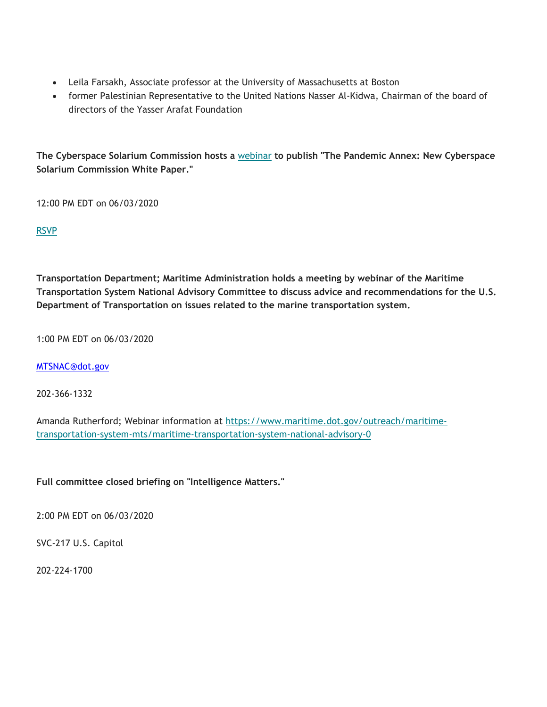- Leila Farsakh, Associate professor at the University of Massachusetts at Boston
- former Palestinian Representative to the United Nations Nasser Al-Kidwa, Chairman of the board of directors of the Yasser Arafat Foundation

**The Cyberspace Solarium Commission hosts a** webinar **to publish "The Pandemic Annex: New Cyberspace Solarium Commission White Paper."** 

12:00 PM EDT on 06/03/2020

RSVP

**Transportation Department; Maritime Administration holds a meeting by webinar of the Maritime Transportation System National Advisory Committee to discuss advice and recommendations for the U.S. Department of Transportation on issues related to the marine transportation system.** 

1:00 PM EDT on 06/03/2020

<u>[MTSNAC@dot.gov](mailto:MTSNAC@dot.gov)</u><br>202-366-1332

Amanda Rutherford; Webinar information at <https://www.maritime.dot.gov/outreach/maritime>transportation-system-mts/maritime-transportation-system-national-advisory-0

**Full committee closed briefing on "Intelligence Matters."** 

2:00 PM EDT on 06/03/2020

SVC-217 U.S. Capitol

202-224-1700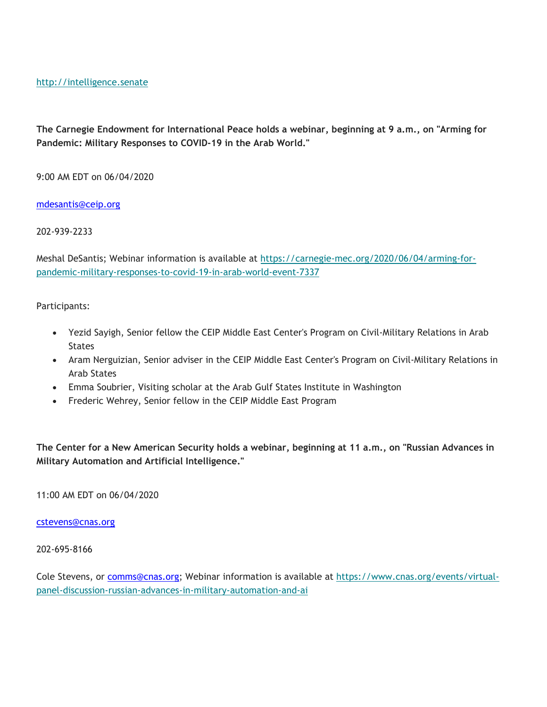<http://intelligence.senate>

**The Carnegie Endowment for International Peace holds a webinar, beginning at 9 a.m., on "Arming for Pandemic: Military Responses to COVID-19 in the Arab World."** 

9:00 AM EDT on 06/04/2020

<u>mdesantis@ceip.org</u><br>202-939-2233

Meshal DeSantis; Webinar information is available at <https://carnegie-mec.org/2020/06/04/arming-for>pandemic-military-responses-to-covid-19-in-arab-world-event-7337

Participants:

- Yezid Sayigh, Senior fellow the CEIP Middle East Center's Program on Civil-Military Relations in Arab **States**
- Aram Nerguizian, Senior adviser in the CEIP Middle East Center's Program on Civil-Military Relations in Arab States
- Emma Soubrier, Visiting scholar at the Arab Gulf States Institute in Washington
- Frederic Wehrey, Senior fellow in the CEIP Middle East Program

**The Center for a New American Security holds a webinar, beginning at 11 a.m., on "Russian Advances in Military Automation and Artificial Intelligence."** 

11:00 AM EDT on 06/04/2020

<u>cstevens@cnas.org</u><br>202-695-8166

Cole Stevens, or [comms@cnas.org;](mailto:comms@cnas.org) Webinar information is available at <https://www.cnas.org/events/virtual>panel-discussion-russian-advances-in-military-automation-and-ai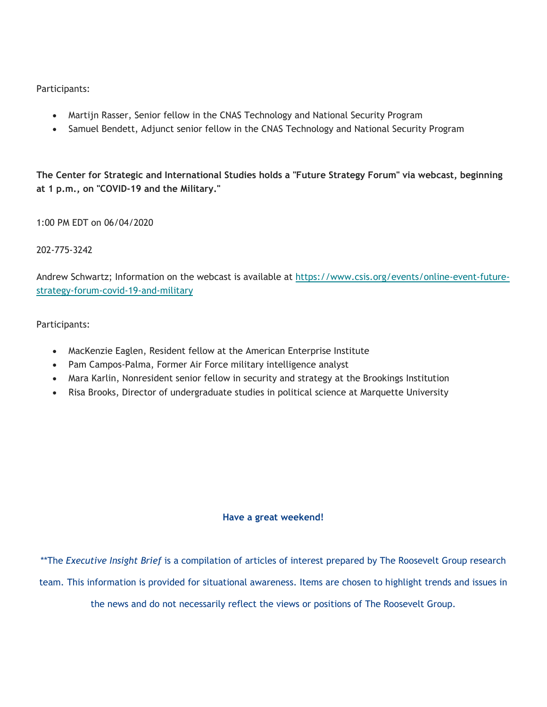Participants:

- Martijn Rasser, Senior fellow in the CNAS Technology and National Security Program
- Samuel Bendett, Adjunct senior fellow in the CNAS Technology and National Security Program

**The Center for Strategic and International Studies holds a "Future Strategy Forum" via webcast, beginning at 1 p.m., on "COVID-19 and the Military."** 

1:00 PM EDT on 06/04/2020

### 202-775-3242

Andrew Schwartz; Information on the webcast is available at <https://www.csis.org/events/online-event-future>strategy-forum-covid-19-and-military

#### Participants:

- MacKenzie Eaglen, Resident fellow at the American Enterprise Institute
- Pam Campos-Palma, Former Air Force military intelligence analyst
- Mara Karlin, Nonresident senior fellow in security and strategy at the Brookings Institution
- Risa Brooks, Director of undergraduate studies in political science at Marquette University

#### **Have a great weekend!**

\*\*The *Executive Insight Brief* is a compilation of articles of interest prepared by The Roosevelt Group research

team. This information is provided for situational awareness. Items are chosen to highlight trends and issues in

the news and do not necessarily reflect the views or positions of The Roosevelt Group.